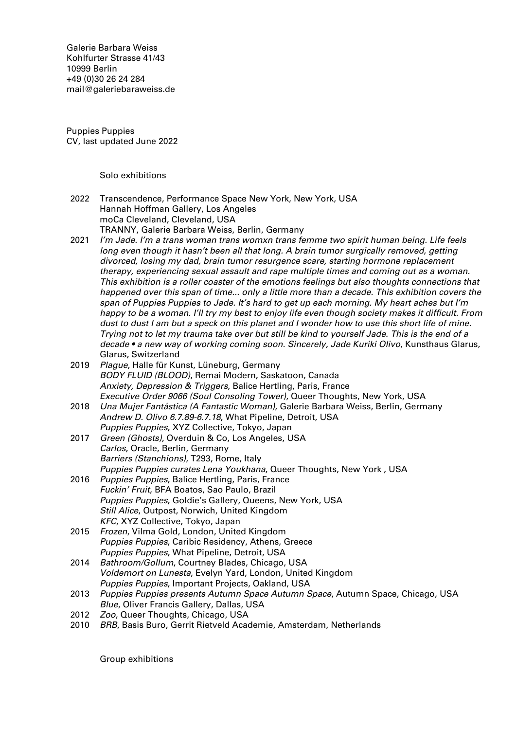Galerie Barbara Weiss [Kohlfurter Strasse 41/43](https://goo.gl/maps/ZQcePopa6uu3a3k19) [10999 Berlin](https://goo.gl/maps/ZQcePopa6uu3a3k19) +49 (0)30 26 24 284 [mail@galeriebaraweiss.de](mailto:mail@galeriebarbaraweiss.de)

Puppies Puppies CV, last updated June 2022

Solo exhibitions

- 2022 Transcendence, Performance Space New York, New York, USA Hannah Hoffman Gallery, Los Angeles moCa Cleveland, Cleveland, USA TRANNY, Galerie Barbara Weiss, Berlin, Germany
- 2021 I'm Jade. I'm a trans woman trans womxn trans femme two spirit human being. Life feels long even though it hasn't been all that long. A brain tumor surgically removed, getting divorced, losing my dad, brain tumor resurgence scare, starting hormone replacement therapy, experiencing sexual assault and rape multiple times and coming out as a woman. This exhibition is a roller coaster of the emotions feelings but also thoughts connections that happened over this span of time... only a little more than a decade. This exhibition covers the span of Puppies Puppies to Jade. It's hard to get up each morning. My heart aches but I'm happy to be a woman. I'll try my best to enjoy life even though society makes it difficult. From dust to dust I am but a speck on this planet and I wonder how to use this short life of mine. Trying not to let my trauma take over but still be kind to yourself Jade. This is the end of a decade • a new way of working coming soon. Sincerely, Jade Kuriki Olivo, Kunsthaus Glarus, Glarus, Switzerland
- 2019 Plague, Halle für Kunst, Lüneburg, Germany BODY FLUID (BLOOD), Remai Modern, Saskatoon, Canada Anxiety, Depression & Triggers, Balice Hertling, Paris, France Executive Order 9066 (Soul Consoling Tower), Queer Thoughts, New York, USA
- 2018 Una Mujer Fantástica (A Fantastic Woman), Galerie Barbara Weiss, Berlin, Germany Andrew D. Olivo 6.7.89-6.7.18, What Pipeline, Detroit, USA Puppies Puppies, XYZ Collective, Tokyo, Japan
- 2017 Green (Ghosts), Overduin & Co, Los Angeles, USA Carlos, Oracle, Berlin, Germany Barriers (Stanchions), T293, Rome, Italy Puppies Puppies curates Lena Youkhana, Queer Thoughts, New York , USA
- 2016 Puppies Puppies, Balice Hertling, Paris, France Fuckin' Fruit, BFA Boatos, Sao Paulo, Brazil Puppies Puppies, Goldie's Gallery, Queens, New York, USA Still Alice, Outpost, Norwich, United Kingdom KFC, XYZ Collective, Tokyo, Japan
- 2015 Frozen, Vilma Gold, London, United Kingdom Puppies Puppies, Caribic Residency, Athens, Greece Puppies Puppies, What Pipeline, Detroit, USA
- 2014 Bathroom/Gollum, Courtney Blades, Chicago, USA Voldemort on Lunesta, Evelyn Yard, London, United Kingdom Puppies Puppies, Important Projects, Oakland, USA
- 2013 Puppies Puppies presents Autumn Space Autumn Space, Autumn Space, Chicago, USA Blue, Oliver Francis Gallery, Dallas, USA
- 2012 *Zoo*, Queer Thoughts, Chicago, USA
- 2010 BRB, Basis Buro, Gerrit Rietveld Academie, Amsterdam, Netherlands

Group exhibitions